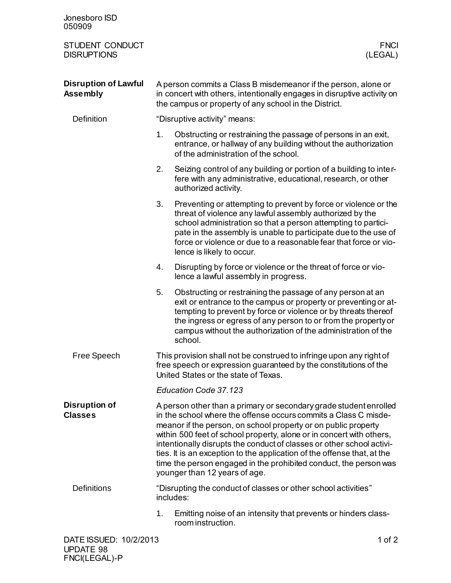| Jonesboro ISD<br>050909                        |                                                                                                                                                                                                                                                                                                                                                                                                                                                                                                                                          |                                                                                                                                                                                                                                                                                                                                                                  |  |
|------------------------------------------------|------------------------------------------------------------------------------------------------------------------------------------------------------------------------------------------------------------------------------------------------------------------------------------------------------------------------------------------------------------------------------------------------------------------------------------------------------------------------------------------------------------------------------------------|------------------------------------------------------------------------------------------------------------------------------------------------------------------------------------------------------------------------------------------------------------------------------------------------------------------------------------------------------------------|--|
| STUDENT CONDUCT<br><b>DISRUPTIONS</b>          |                                                                                                                                                                                                                                                                                                                                                                                                                                                                                                                                          | <b>FNCI</b><br>(LEGAL)                                                                                                                                                                                                                                                                                                                                           |  |
| <b>Disruption of Lawful</b><br><b>Assembly</b> | A person commits a Class B misdemeanor if the person, alone or<br>in concert with others, intentionally engages in disruptive activity on<br>the campus or property of any school in the District.                                                                                                                                                                                                                                                                                                                                       |                                                                                                                                                                                                                                                                                                                                                                  |  |
| <b>Definition</b>                              | "Disruptive activity" means:                                                                                                                                                                                                                                                                                                                                                                                                                                                                                                             |                                                                                                                                                                                                                                                                                                                                                                  |  |
|                                                | 1.                                                                                                                                                                                                                                                                                                                                                                                                                                                                                                                                       | Obstructing or restraining the passage of persons in an exit,<br>entrance, or hallway of any building without the authorization<br>of the administration of the school.                                                                                                                                                                                          |  |
|                                                | 2.                                                                                                                                                                                                                                                                                                                                                                                                                                                                                                                                       | Seizing control of any building or portion of a building to inter-<br>fere with any administrative, educational, research, or other<br>authorized activity.                                                                                                                                                                                                      |  |
|                                                | 3.                                                                                                                                                                                                                                                                                                                                                                                                                                                                                                                                       | Preventing or attempting to prevent by force or violence or the<br>threat of violence any lawful assembly authorized by the<br>school administration so that a person attempting to partici-<br>pate in the assembly is unable to participate due to the use of<br>force or violence or due to a reasonable fear that force or vio-<br>lence is likely to occur. |  |
|                                                | 4.                                                                                                                                                                                                                                                                                                                                                                                                                                                                                                                                       | Disrupting by force or violence or the threat of force or vio-<br>lence a lawful assembly in progress.                                                                                                                                                                                                                                                           |  |
|                                                | 5.                                                                                                                                                                                                                                                                                                                                                                                                                                                                                                                                       | Obstructing or restraining the passage of any person at an<br>exit or entrance to the campus or property or preventing or at-<br>tempting to prevent by force or violence or by threats thereof<br>the ingress or egress of any person to or from the property or<br>campus without the authorization of the administration of the<br>school.                    |  |
| Free Speech                                    | This provision shall not be construed to infringe upon any right of<br>free speech or expression guaranteed by the constitutions of the<br>United States or the state of Texas.                                                                                                                                                                                                                                                                                                                                                          |                                                                                                                                                                                                                                                                                                                                                                  |  |
|                                                | Education Code 37.123                                                                                                                                                                                                                                                                                                                                                                                                                                                                                                                    |                                                                                                                                                                                                                                                                                                                                                                  |  |
| <b>Disruption of</b><br><b>Classes</b>         | A person other than a primary or secondary grade student enrolled<br>in the school where the offense occurs commits a Class C misde-<br>meanor if the person, on school property or on public property<br>within 500 feet of school property, alone or in concert with others,<br>intentionally disrupts the conduct of classes or other school activi-<br>ties. It is an exception to the application of the offense that, at the<br>time the person engaged in the prohibited conduct, the person was<br>younger than 12 years of age. |                                                                                                                                                                                                                                                                                                                                                                  |  |
| <b>Definitions</b>                             |                                                                                                                                                                                                                                                                                                                                                                                                                                                                                                                                          | "Disrupting the conduct of classes or other school activities"<br>includes:                                                                                                                                                                                                                                                                                      |  |
|                                                | 1.                                                                                                                                                                                                                                                                                                                                                                                                                                                                                                                                       | Emitting noise of an intensity that prevents or hinders class-<br>room instruction.                                                                                                                                                                                                                                                                              |  |
| DATE ISSUED: 10/2/2013                         |                                                                                                                                                                                                                                                                                                                                                                                                                                                                                                                                          | 1 of $2$                                                                                                                                                                                                                                                                                                                                                         |  |